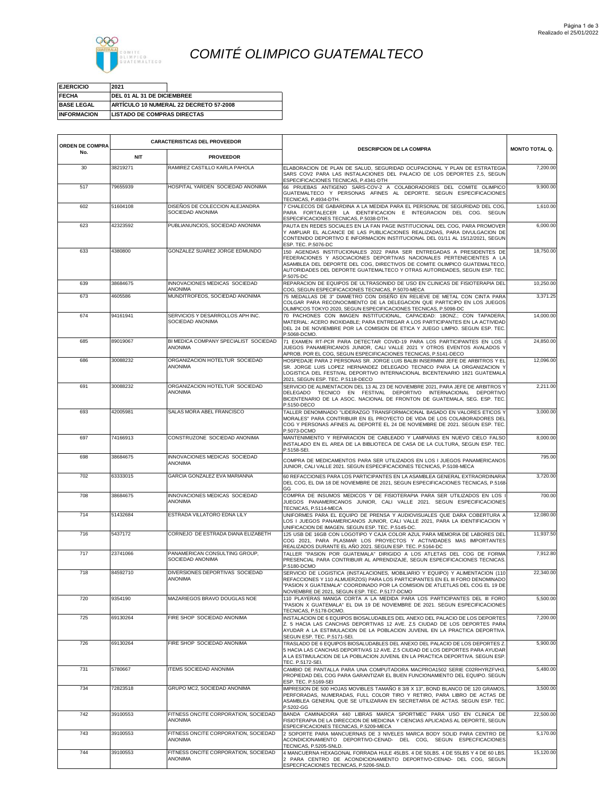

## *COMITÉ OLIMPICO GUATEMALTECO*

| <b>EJERCICIO</b>   | 2021                               |                                        |
|--------------------|------------------------------------|----------------------------------------|
| <b>FECHA</b>       | <b>IDEL 01 AL 31 DE DICIEMBREE</b> |                                        |
| <b>BASE LEGAL</b>  |                                    | ARTÍCULO 10 NUMERAL 22 DECRETO 57-2008 |
| <b>INFORMACION</b> | <b>LISTADO DE COMPRAS DIRECTAS</b> |                                        |

| <b>ORDEN DE COMPRA</b> |            | <b>CARACTERISTICAS DEL PROVEEDOR</b>                   |                                                                                                                                                                                                                                                                                                                      |                       |
|------------------------|------------|--------------------------------------------------------|----------------------------------------------------------------------------------------------------------------------------------------------------------------------------------------------------------------------------------------------------------------------------------------------------------------------|-----------------------|
| No.                    | <b>NIT</b> | <b>PROVEEDOR</b>                                       | <b>DESCRIPCION DE LA COMPRA</b>                                                                                                                                                                                                                                                                                      | <b>MONTO TOTAL Q.</b> |
| 30                     | 38219271   | RAMIREZ CASTILLO KARLA PAHOLA                          | ELABORACION DE PLAN DE SALUD, SEGURIDAD OCUPACIONAL Y PLAN DE ESTRATEGIA<br>SARS COV2 PARA LAS INSTALACIONES DEL PALACIO DE LOS DEPORTES Z.5, SEGUN<br>ESPECIFICACIONES TECNICAS, P.4341-DTH                                                                                                                         | 7,200.00              |
| 517                    | 79655939   | HOSPITAL YARDEN SOCIEDAD ANONIMA                       | 66 PRUEBAS ANTIGENO SARS-COV-2 A COLABORADORES DEL COMITE OLIMPICO<br>GUATEMALTECO Y PERSONAS AFINES AL DEPORTE. SEGUN ESPECIFICACIONES<br>TECNICAS, P.4934-DTH.                                                                                                                                                     | 9,900.00              |
| 602                    | 51604108   | DISEÑOS DE COLECCION ALEJANDRA<br>SOCIEDAD ANONIMA     | 7 CHALECOS DE GABARDINA A LA MEDIDA PARA EL PERSONAL DE SEGURIDAD DEL COG<br>PARA FORTALECER LA IDENTIFICACION E INTEGRACION DEL COG. SEGUN<br>ESPECIFICACIONES TECNICAS, P.5038-DTH.                                                                                                                                | 1,610.00              |
| 623                    | 42323592   | PUBLIANUNCIOS, SOCIEDAD ANONIMA                        | PAUTA EN REDES SOCIALES EN LA FAN PAGE INSTITUCIONAL DEL COG, PARA PROMOVER<br>Y AMPLIAR EL ALCANCE DE LAS PUBLICACIONES REALIZADAS, PARA DIVULGACION DE<br>CONTENIDO DEPORTIVO E INFORMACION INSTITUCIONAL DEL 01/11 AL 15/12/2021, SEGUN<br>ESP. TEC. P.5076-DC                                                    | $6,000.\overline{00}$ |
| 633                    | 4380800    | GONZALEZ SUAREZ JORGE EDMUNDO                          | 150 AGENDAS INSTITUCIONALES 2022 PARA SER ENTREGADAS A PRESIDENTES DE<br>FEDERACIONES Y ASOCIACIONES DEPORTIVAS NACIONALES PERTENECIENTES A LA<br>ASAMBLEA DEL DEPORTE DEL COG, DIRECTIVOS DE COMITE OLIMPICO GUATEMALTECO.<br>AUTORIDADES DEL DEPORTE GUATEMALTECO Y OTRAS AUTORIDADES, SEGUN ESP. TEC<br>P.5075-DC | 18,750.00             |
| 639                    | 38684675   | INNOVACIONES MEDICAS SOCIEDAD<br><b>ANONIMA</b>        | REPARACION DE EQUIPOS DE ULTRASONIDO DE USO EN CLINICAS DE FISIOTERAPIA DEL<br>COG, SEGUN ESPECIFICACIONES TECNICAS, P.5070-MECA                                                                                                                                                                                     | 10.250.00             |
| 673                    | 4605586    | MUNDITROFEOS, SOCIEDAD ANONIMA                         | 75 MEDALLAS DE 3" DIAMETRO CON DISEÑO EN RELIEVE DE METAL CON CINTA PARA<br>COLGAR PARA RECONOCIMIENTO DE LA DELEGACION QUE PARTICIPO EN LOS JUEGOS<br>OLIMPICOS TOKYO 2020, SEGUN ESPECIFICACIONES TECNICAS, P.5098-DC                                                                                              | 3,371.25              |
| 674                    | 94161941   | SERVICIOS Y DESARROLLOS APH INC.<br>SOCIEDAD ANONIMA   | 70 PACHONES CON IMAGEN INSTITUCIONAL, CAPACIDAD: 18ONZ.; CON TAPADERA;<br>MATERIAL: ACERO INOXIDABLE; PARA ENTREGAR A LOS PARTICIPANTES EN LA ACTIVIDAD<br>DEL 24 DE NOVIEMBRE POR LA COMISION DE ETICA Y JUEGO LIMPIO. SEGUN ESP. TEC.<br>P.5068-DCMO.                                                              | 14,000.00             |
| 685                    | 89019067   | BI MEDICA COMPANY SPECIALIST SOCIEDAD<br>ANONIMA       | 71 EXAMEN RT-PCR PARA DETECTAR COVID-19 PARA LOS PARTICIPANTES EN LOS<br>JUEGOS PANAMERICANOS JUNIOR, CALI VALLE 2021 Y OTROS EVENTOS AVALADOS Y<br>APROB. POR EL COG, SEGUN ESPECIFICACIONES TECNICAS, P.5141-DECO                                                                                                  | 24,850,00             |
| 686                    | 30088232   | ORGANIZACION HOTELTUR SOCIEDAD<br><b>ANONIMA</b>       | HOSPEDAJE PARA 2 PERSONAS SR. JORGE LUIS BALBI INSERMINI JEFE DE ARBITROS Y EL<br>SR. JORGE LUIS LOPEZ HERNANDEZ DELEGADO TECNICO PARA LA ORGANIZACION Y<br>LOGISTICA DEL FESTIVAL DEPORTIVO INTERNACIONAL BICENTENARIO 1821 GUATEMALA<br>2021, SEGUN ESP. TEC. P.5118-DECO                                          | 12,096.00             |
| 691                    | 30088232   | ORGANIZACION HOTELTUR SOCIEDAD<br><b>ANONIMA</b>       | SERVICIO DE ALIMENTACION DEL 13 AL 23 DE NOVIEMBRE 2021, PARA JEFE DE ARBITROS Y<br>DELEGADO TECNICO EN FESTIVAL DEPORTIVO INTERNACIONAL DEPORTIVO<br>BICENTENARIO DE LA ASOC. NACIONAL DE FRONTON DE GUATEMALA, SEG. ESP. TEC.<br>P.5150-DECO                                                                       | 2,211.00              |
| 693                    | 42005981   | SALAS MORA ABEL FRANCISCO                              | TALLER DENOMINADO "LIDERAZGO TRANSFORMACIONAL BASADO EN VALORES ETICOS Y<br>MORALES" PARA CONTRIBUIR EN EL PROYECTO DE VIDA DE LOS COLABORADORES DEL<br>COG Y PERSONAS AFINES AL DEPORTE EL 24 DE NOVIEMBRE DE 2021. SEGUN ESP. TEC.<br>P.5073-DCMO                                                                  | 3,000.00              |
| 697                    | 74166913   | CONSTRUZONE SOCIEDAD ANONIMA                           | MANTENIMIENTO Y REPARACION DE CABLEADO Y LAMPARAS EN NUEVO CIELO FALSO<br>INSTALADO EN EL AREA DE LA BIBLIOTECA DE CASA DE LA CULTURA, SEGUN ESP. TEC<br>P.5158-SEI.                                                                                                                                                 | 8,000.00              |
| 698                    | 38684675   | INNOVACIONES MEDICAS SOCIEDAD<br><b>ANONIMA</b>        | COMPRA DE MEDICAMENTOS PARA SER UTILIZADOS EN LOS I JUEGOS PANAMERICANOS<br>JUNIOR, CALI VALLE 2021. SEGUN ESPECIFICACIONES TECNICAS, P.5108-MECA                                                                                                                                                                    | 795.00                |
| 702                    | 63333015   | GARCIA GONZALEZ EVA MARIANNA                           | 60 REFACCIONES PARA LOS PARTICIPANTES EN LA ASAMBLEA GENERAL EXTRAORDINARIA<br>DEL COG, EL DIA 18 DE NOVIEMBRE DE 2021, SEGUN ESPECIFICACIONES TECNICAS, P.5168<br>GG                                                                                                                                                | 3,720.00              |
| 708                    | 38684675   | INNOVACIONES MEDICAS SOCIEDAD<br><b>ANONIMA</b>        | COMPRA DE INSUMOS MEDICOS Y DE FISIOTERAPIA PARA SER UTILIZADOS EN LOS<br>JUEGOS PANAMERICANOS JUNIOR, CALI VALLE 2021. SEGUN ESPECIFICACIONES<br>TECNICAS, P.5114-MECA                                                                                                                                              | 700.00                |
| 714                    | 51432684   | ESTRADA VILLATORO EDNA LILY                            | UNIFORMES PARA EL EQUIPO DE PRENSA Y AUDIOVISUALES QUE DARA COBERTURA A<br>LOS I JUEGOS PANAMERICANOS JUNIOR, CALI VALLE 2021, PARA LA IDENTIFICACION Y<br>UNIFICACION DE IMAGEN. SEGUN ESP. TEC. P.5145-DC.                                                                                                         | 12,080.00             |
| 716                    | 5437172    | CORNEJO DE ESTRADA DIANA ELIZABETH                     | 125 USB DE 16GB CON LOGOTIPO Y CAJA COLOR AZUL PARA MEMORIA DE LABORES DEL<br>COG 2021, PARA PLASMAR LOS PROYECTOS Y ACTIVIDADES MAS IMPORTANTES<br>REALIZADOS DURANTE EL AÑO 2021. SEGUN ESP. TEC. P.5164-DC                                                                                                        | 11,937.50             |
| 717                    | 23741066   | PANAMERICAN CONSULTING GROUP,<br>SOCIEDAD ANONIMA      | TALLER "PASION POR GUATEMALA" DIRIGIDO A LOS ATLETAS DEL COG DE FORMA<br>PRESENCIAL PARA CONTRIBUIR AL APRENDIZAJE, SEGUN ESPECIFICACIONES TECNICAS.<br>P.5180-DCMO                                                                                                                                                  | 7,912.80              |
| 718                    | 84592710   | DIVERSIONES DEPORTIVAS SOCIEDAD<br>ANONIMA             | SERVICIO DE LOGISTICA (INSTALACIONES, MOBILIARIO Y EQUIPO) Y ALIMENTACION (110<br>REFACCIONES Y 110 ALMUERZOS) PARA LOS PARTICIPANTES EN EL III FORO DENOMINADO<br>"PASION X GUATEMALA" COORDINADO POR LA COMISION DE ATLETLAS DEL COG EL 19 DE<br>NOVIEMBRE DE 2021, SEGUN ESP. TEC. P.5177-DCMO                    | 22,340.00             |
| 720                    | 9354190    | MAZARIEGOS BRAVO DOUGLAS NOE                           | 110 PLAYERAS MANGA CORTA A LA MEDIDA PARA LOS PARTICIPANTES DEL III FORO<br>"PASION X GUATEMALA" EL DIA 19 DE NOVIEMBRE DE 2021. SEGUN ESPECIFICACIONES<br>TECNICAS, P.5178-DCMO.                                                                                                                                    | 5,500.00              |
| 725                    | 69130264   | FIRE SHOP SOCIEDAD ANONIMA                             | INSTALACION DE 6 EQUIPOS BIOSALUDABLES DEL ANEXO DEL PALACIO DE LOS DEPORTES<br>Z. 5 HACIA LAS CANCHAS DEPORTIVAS 12 AVE, Z.5 CIUDAD DE LOS DEPORTES PARA<br>AYUDAR A LA ESTIMULACION DE LA POBLACION JUVENIL EN LA PRACTICA DEPORTIVA.<br>SEGUN ESP. TEC. P.5171-SEI.                                               | 7,200.00              |
| 726                    | 69130264   | FIRE SHOP SOCIEDAD ANONIMA                             | TRASLADO DE 6 EQUIPOS BIOSALUDABLES DEL ANEXO DEL PALACIO DE LOS DEPORTES Z<br>5 HACIA LAS CANCHAS DEPORTIVAS 12 AVE. Z.5 CIUDAD DE LOS DEPORTES PARA AYUDAR<br>A LA ESTIMULACION DE LA POBLACION JUVENIL EN LA PRACTICA DEPORTIVA. SEGUN ESP<br>TEC. P.5172-SEI.                                                    | 5,900.00              |
| 731                    | 5780667    | <b>ITEMS SOCIEDAD ANONIMA</b>                          | CAMBIO DE PANTALLA PARA UNA COMPUTADORA MACPROA1502 SERIE C02RHYRZFVH3<br>PROPIEDAD DEL COG PARA GARANTIZAR EL BUEN FUNCIONAMIENTO DEL EQUIPO. SEGUN<br>ESP. TEC. P.5169-SEI                                                                                                                                         | 5,480.00              |
| 734                    | 72823518   | GRUPO MC2, SOCIEDAD ANONIMA                            | IMPRESION DE 500 HOJAS MOVIBLES TAMAÑO 8 3/8 X 13", BOND BLANCO DE 120 GRAMOS<br>PERFORADAS, NUMERADAS, FULL COLOR TIRO Y RETIRO, PARA LIBRO DE ACTAS DE<br>ASAMBLEA GENERAL QUE SE UTILIZARAN EN SECRETARIA DE ACTAS, SEGUN ESP. TEC.<br>P.5202-GG                                                                  | 3,500.00              |
| 742                    | 39100553   | FITNESS ONCITE CORPORATION, SOCIEDAD<br><b>ANONIMA</b> | BANDA CAMINADORA 440 LIBRAS MARCA SPORTMEC PARA USO EN CLINICA DE<br>FISIOTERAPIA DE LA DIRECCION DE MEDICINA Y CIENCIAS APLICADAS AL DEPORTE, SEGUN<br>ESPECIFICACIONES TECNICAS, P.5209-MECA                                                                                                                       | 22,500.00             |
| 743                    | 39100553   | FITNESS ONCITE CORPORATION, SOCIEDAD<br><b>ANONIMA</b> | 2 SOPORTE PARA MANCUERNAS DE 3 NIVELES MARCA BODY SOLID PARA CENTRO DE<br>ACONDICIONAMIENTO DEPORTIVO-CENAD- DEL COG, SEGUN ESPECFICACIONES<br>TECNICAS, P.5205-SNLD.                                                                                                                                                | 5,170.00              |
| 744                    | 39100553   | FITNESS ONCITE CORPORATION, SOCIEDAD<br>ANONIMA        | 4 MANCUERNA HEXAGONAL FORRADA HULE 45LBS. 4 DE 50LBS. 4 DE 55LBS Y 4 DE 60 LBS<br>2 PARA CENTRO DE ACONDICIONAMIENTO DEPORTIVO-CENAD- DEL COG, SEGUN<br>ESPECFICACIONES TECNICAS, P.5206-SNLD.                                                                                                                       | 15,120.00             |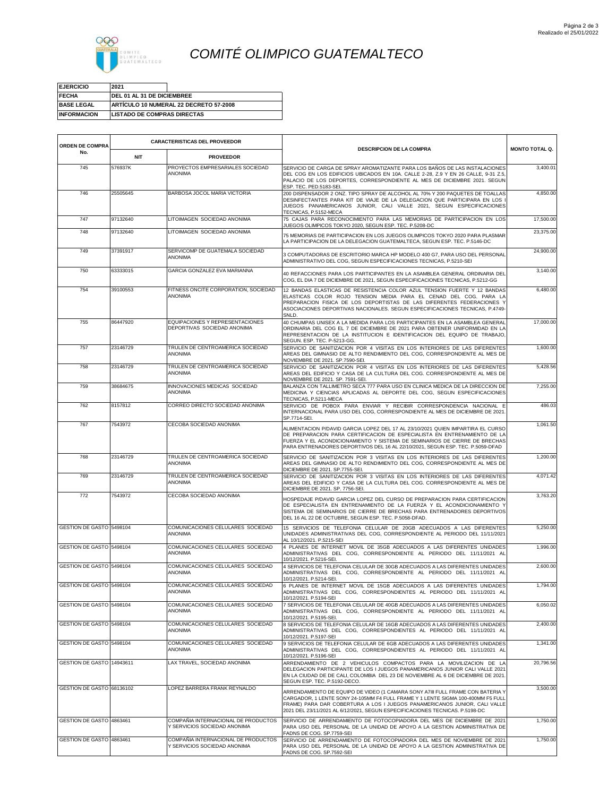

## *COMITÉ OLIMPICO GUATEMALTECO*

| <b>EJERCICIO</b>   | 2021                               |                                        |
|--------------------|------------------------------------|----------------------------------------|
| <b>FECHA</b>       | <b>IDEL 01 AL 31 DE DICIEMBREE</b> |                                        |
| <b>BASE LEGAL</b>  |                                    | ARTÍCULO 10 NUMERAL 22 DECRETO 57-2008 |
| <b>INFORMACION</b> | <b>LISTADO DE COMPRAS DIRECTAS</b> |                                        |

| ORDEN DE COMPRA           |            | <b>CARACTERISTICAS DEL PROVEEDOR</b>                                |                                                                                                                                                                                                                                                                                                                                |                       |
|---------------------------|------------|---------------------------------------------------------------------|--------------------------------------------------------------------------------------------------------------------------------------------------------------------------------------------------------------------------------------------------------------------------------------------------------------------------------|-----------------------|
| No.                       | <b>NIT</b> | <b>PROVEEDOR</b>                                                    | <b>DESCRIPCION DE LA COMPRA</b>                                                                                                                                                                                                                                                                                                | <b>MONTO TOTAL Q.</b> |
| 745                       | 576937K    | PROYECTOS EMPRESARIALES SOCIEDAD<br><b>ANONIMA</b>                  | SERVICIO DE CARGA DE SPRAY AROMATIZANTE PARA LOS BAÑOS DE LAS INSTALACIONES<br>DEL COG EN LOS EDIFICIOS UBICADOS EN 10A. CALLE 2-28, Z.9 Y EN 26 CALLE, 9-31 Z.5<br>PALACIO DE LOS DEPORTES, CORRESPONDIENTE AL MES DE DICIEMBRE 2021. SEGUN<br>ESP. TEC. PED.5183-SEI                                                         | 3,400.01              |
| 746                       | 25505645   | BARBOSA JOCOL MARIA VICTORIA                                        | 200 DISPENSADOR 2 ONZ. TIPO SPRAY DE ALCOHOL AL 70% Y 200 PAQUETES DE TOALLAS<br>DESINFECTANTES PARA KIT DE VIAJE DE LA DELEGACION QUE PARTICIPARA EN LOS<br>JUEGOS PANAMERICANOS JUNIOR, CALI VALLE 2021, SEGUN ESPECIFICACIONES<br>TECNICAS, P.5152-MECA                                                                     | 4,850.00              |
| 747                       | 97132640   | LITOIMAGEN SOCIEDAD ANONIMA                                         | 75 CAJAS PARA RECONOCIMIENTO PARA LAS MEMORIAS DE PARTICIPACION EN LOS<br>JUEGOS OLIMPICOS TOKYO 2020, SEGUN ESP. TEC. P.5208-DC                                                                                                                                                                                               | 17,500.00             |
| 748                       | 97132640   | LITOIMAGEN SOCIEDAD ANONIMA                                         | 75 MEMORIAS DE PARTICIPACION EN LOS JUEGOS OLIMPICOS TOKYO 2020 PARA PLASMAR<br>LA PARTICIPACION DE LA DELEGACION GUATEMALTECA, SEGUN ESP. TEC. P.5146-DC                                                                                                                                                                      | 23,375.00             |
| 749                       | 37391917   | SERVICOMP DE GUATEMALA SOCIEDAD<br><b>ANONIMA</b>                   | 3 COMPUTADORAS DE ESCRITORIO MARCA HP MODELO 400 G7, PARA USO DEL PERSONAL<br>ADMINISTRATIVO DEL COG, SEGUN ESPECIFICACIONES TECNICAS, P.5210-SEI                                                                                                                                                                              | 24,900.00             |
| 750                       | 63333015   | GARCIA GONZALEZ EVA MARIANNA                                        | 40 REFACCIONES PARA LOS PARTICIPANTES EN LA ASAMBLEA GENERAL ORDINARIA DEL<br>COG, EL DIA 7 DE DICIEMBRE DE 2021, SEGUN ESPECIFICACIONES TECNICAS, P.5212-GG                                                                                                                                                                   | 3,140.00              |
| 754                       | 39100553   | FITNESS ONCITE CORPORATION, SOCIEDAD<br><b>ANONIMA</b>              | 12 BANDAS ELASTICAS DE RESISTENCIA COLOR AZUL TENSION FUERTE Y 12 BANDAS<br>ELASTICAS COLOR ROJO TENSION MEDIA PARA EL CENAD DEL COG. PARA LA<br>PREPARACION FISICA DE LOS DEPORTISTAS DE LAS DIFERENTES FEDERACIONES Y<br>ASOCIACIONES DEPORTIVAS NACIONALES. SEGUN ESPECIFICACIONES TECNICAS, P.4749-<br>SNLD.               | 6,480.00              |
| 755                       | 86447920   | EQUIPACIONES Y REPRESENTACIONES<br>DEPORTIVAS SOCIEDAD ANONIMA      | 40 CHUMPAS UNISEX A LA MEDIDA PARA LOS PARTICIPANTES EN LA ASAMBLEA GENERAL<br>ORDINARIA DEL COG EL 7 DE DICIEMBRE DE 2021 PARA OBTENER UNIFORMIDAD EN LA<br>REPRESENTACION DE LA INSTITUCION E IDENTIFICACION DEL EQUIPO DE TRABAJO<br>SEGUN. ESP. TEC. P-5213-GG.                                                            | 17,000.00             |
| 757                       | 23146729   | TRULEN DE CENTROAMERICA SOCIEDAD<br><b>ANONIMA</b>                  | SERVICIO DE SANITIZACION POR 4 VISITAS EN LOS INTERIORES DE LAS DIFERENTES<br>AREAS DEL GIMNASIO DE ALTO RENDIMIENTO DEL COG, CORRESPONDIENTE AL MES DE<br>NOVIEMBRE DE 2021. SP.7590-SEI.                                                                                                                                     | 1,600.00              |
| 758                       | 23146729   | TRULEN DE CENTROAMERICA SOCIEDAD<br><b>ANONIMA</b>                  | SERVICIO DE SANITIZACION POR 4 VISITAS EN LOS INTERIORES DE LAS DIFERENTES<br>AREAS DEL EDIFICIO Y CASA DE LA CULTURA DEL COG. CORRESPONDIENTE AL MES DE<br>NOVIEMBRE DE 2021. SP. 7591-SEI.                                                                                                                                   | 5,428.56              |
| 759                       | 38684675   | INNOVACIONES MEDICAS SOCIEDAD<br><b>ANONIMA</b>                     | BALANZA CON TALLIMETRO SECA 777 PARA USO EN CLINICA MEDICA DE LA DIRECCION DE<br>MEDICINA Y CIENCIAS APLICADAS AL DEPORTE DEL COG. SEGUN ESPECIFICACIONES<br>TECNICAS, P.5211-MECA                                                                                                                                             | 7,255.00              |
| 762                       | 8157812    | CORREO DIRECTO SOCIEDAD ANONIMA                                     | SERVICIO DE POBOX PARA ENVIAR Y RECIBIR CORRESPONDENCIA NACIONAL E<br>INTERNACIONAL PARA USO DEL COG. CORRESPONDIENTE AL MES DE DICIEMBRE DE 2021<br>SP.7714-SEI.                                                                                                                                                              | 486.03                |
| 767                       | 7543972    | CECOBA SOCIEDAD ANONIMA                                             | ALIMENTACION P/DAVID GARCIA LOPEZ DEL 17 AL 23/10/2021 QUIEN IMPARTIRA EL CURSC<br>DE PREPARACION PARA CERTIFICACION DE ESPECIALISTA EN ENTRENAMIENTO DE LA<br>FUERZA Y EL ACONDICIONAMIENTO Y SISTEMA DE SEMINARIOS DE CIERRE DE BRECHAS<br>PARA ENTRENADORES DEPORTIVOS DEL 16 AL 22/10/2021, SEGUN ESP. TEC. P.5059-DFAD    | 1,061.50              |
| 768                       | 23146729   | TRULEN DE CENTROAMERICA SOCIEDAD<br><b>ANONIMA</b>                  | SERVICIO DE SANITIZACION POR 3 VISITAS EN LOS INTERIORES DE LAS DIFERENTES<br>AREAS DEL GIMNASIO DE ALTO RENDIMIENTO DEL COG, CORRESPONDIENTE AL MES DE<br>DICIEMBRE DE 2021. SP.7755-SEI                                                                                                                                      | 1,200.00              |
| 769                       | 23146729   | TRULEN DE CENTROAMERICA SOCIEDAD<br>ANONIMA                         | SERVICIO DE SANITIZACION POR 3 VISITAS EN LOS INTERIORES DE LAS DIFERENTES<br>AREAS DEL EDIFICIO Y CASA DE LA CULTURA DEL COG. CORRESPONDIENTE AL MES DE<br>DICIEMBRE DE 2021. SP. 7756-SEI.                                                                                                                                   | 4,071.42              |
| 772                       | 7543972    | CECOBA SOCIEDAD ANONIMA                                             | HOSPEDAJE P/DAVID GARCIA LOPEZ DEL CURSO DE PREPARACION PARA CERTIFICACION<br>DE ESPECIALISTA EN ENTRENAMIENTO DE LA FUERZA Y EL ACONDICIONAMIENTO Y<br>SISTEMA DE SEMINARIOS DE CIERRE DE BRECHAS PARA ENTRENADORES DEPORTIVOS<br>DEL 16 AL 22 DE OCTUBRE, SEGUN ESP. TEC. P.5058-DFAD.                                       | 3,763.20              |
| GESTION DE GASTO 5498104  |            | COMUNICACIONES CELULARES SOCIEDAD<br><b>ANONIMA</b>                 | 15 SERVICIOS DE TELEFONIA CELULAR DE 20GB ADECUADOS A LAS DIFERENTES<br>UNIDADES ADMINISTRATIVAS DEL COG, CORRESPONDIENTE AL PERIODO DEL 11/11/2021<br>AL 10/12/2021. P.5215-SEI                                                                                                                                               | 5,250.00              |
| GESTION DE GASTO 5498104  |            | COMUNICACIONES CELULARES SOCIEDAD<br><b>ANONIMA</b>                 | 4 PLANES DE INTERNET MOVIL DE 35GB ADECUADOS A LAS DIFERENTES UNIDADES<br>ADMINISTRATIVAS DEL COG, CORRESPONDIENTE AL PERIODO DEL 11/11/2021 AL<br>10/12/2021. P.5216-SEI.                                                                                                                                                     | 1,996.00              |
| GESTION DE GASTO 5498104  |            | COMUNICACIONES CELULARES SOCIEDAD<br><b>ANONIMA</b>                 | 4 SERVICIOS DE TELEFONIA CELULAR DE 30GB ADECUADOS A LAS DIFERENTES UNIDADES<br>ADMINISTRATIVAS DEL COG, CORRESPONDIENTE AL PERIODO DEL 11/11/2021 AL<br>10/12/2021. P.5214-SEI.                                                                                                                                               | 2,600.00              |
| GESTION DE GASTO 5498104  |            | COMUNICACIONES CELULARES SOCIEDAD<br>ANONIMA                        | 6 PLANES DE INTERNET MOVIL DE 15GB ADECUADOS A LAS DIFERENTES UNIDADES<br>ADMINISTRATIVAS DEL COG, CORRESPONDIENTES AL PERIODO DEL 11/11/2021 AL<br>10/12/2021. P.5194-SEI                                                                                                                                                     | 1,794.00              |
| GESTION DE GASTO 5498104  |            | COMUNICACIONES CELULARES SOCIEDAD<br><b>ANONIMA</b>                 | 7 SERVICIOS DE TELEFONIA CELULAR DE 40GB ADECUADOS A LAS DIFERENTES UNIDADES<br>ADMINISTRATIVAS DEL COG, CORRESPONDIENTE AL PERIODO DEL 11/11/2021 AL<br>10/12/2021. P.5195-SEI.                                                                                                                                               | 6,050.02              |
| GESTION DE GASTO 5498104  |            | COMUNICACIONES CELULARES SOCIEDAD<br>ANONIMA                        | 8 SERVICIOS DE TELEFONIA CELULAR DE 16GB ADECUADOS A LAS DIFERENTES UNIDADES<br>ADMINISTRATIVAS DEL COG, CORRESPONDIENTES AL PERIODO DEL 11/11/2021 AL<br>10/12/2021. P.5197-SEI                                                                                                                                               | 2.400.00              |
| GESTION DE GASTO 5498104  |            | COMUNICACIONES CELULARES SOCIEDAD<br>ANONIMA                        | 9 SERVICIOS DE TELEFONIA CELULAR DE 6GB ADECUADOS A LAS DIFERENTES UNIDADES<br>ADMINISTRATIVAS DEL COG, CORRESPONDIENTES AL PERIODO DEL 11/11/2021 AL<br>10/12/2021, P.5196-SEI                                                                                                                                                | 1,341.00              |
| GESTION DE GASTO 14943611 |            | LAX TRAVEL, SOCIEDAD ANONIMA                                        | ARRENDAMIENTO DE 2 VEHICULOS COMPACTOS PARA LA MOVILIZACION DE LA<br>DELEGACION PARTICIPANTE DE LOS I JUEGOS PANAMERICANOS JUNIOR CALI VALLE 2021<br>EN LA CIUDAD DE DE CALI, COLOMBIA DEL 23 DE NOVIEMBRE AL 6 DE DICIEMBRE DE 2021<br>SEGUN ESP. TEC. P.5192-DECO.                                                           | 20,796.56             |
| GESTION DE GASTO 68136102 |            | LOPEZ BARRERA FRANK REYNALDO                                        | ARRENDAMIENTO DE EQUIPO DE VIDEO (1 CAMARA SONY A7III FULL FRAME CON BATERIA Y<br>CARGADOR, 1 LENTE SONY 24-105MM F4 FULL FRAME Y 1 LENTE SIGMA 100-400MM F5 FULL<br>FRAME) PARA DAR COBERTURA A LOS I JUEGOS PANAMERICANOS JUNIOR, CALI VALLE<br>2021 DEL 23/11/2021 AL 6/12/2021, SEGUN ESPECIFICACIONES TECNICAS. P.5198-DC | 3,500.00              |
| GESTION DE GASTO 4863461  |            | COMPAÑIA INTERNACIONAL DE PRODUCTOS<br>Y SERVICIOS SOCIEDAD ANONIMA | SERVICIO DE ARRENDAMIENTO DE FOTOCOPIADORA DEL MES DE DICIEMBRE DE 2021<br>PARA USO DEL PERSONAL DE LA UNIDAD DE APOYO A LA GESTION ADMINISTRATIVA DE<br>FADNS DE COG. SP.7759-SEI                                                                                                                                             | 1,750.00              |
| GESTION DE GASTO 4863461  |            | COMPAÑIA INTERNACIONAL DE PRODUCTOS<br>Y SERVICIOS SOCIEDAD ANONIMA | SERVICIO DE ARRENDAMIENTO DE FOTOCOPIADORA DEL MES DE NOVIEMBRE DE 2021<br>PARA USO DEL PERSONAL DE LA UNIDAD DE APOYO A LA GESTION ADMINISTRATIVA DE<br>FADNS DE COG. SP.7592-SEI                                                                                                                                             | 1,750.00              |